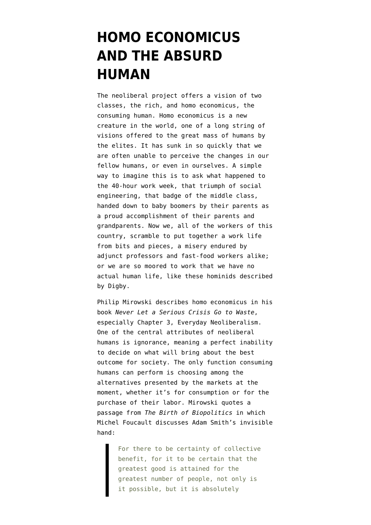## **[HOMO ECONOMICUS](https://www.emptywheel.net/2015/04/05/homo-economicus-and-the-absurd-human/) [AND THE ABSURD](https://www.emptywheel.net/2015/04/05/homo-economicus-and-the-absurd-human/) [HUMAN](https://www.emptywheel.net/2015/04/05/homo-economicus-and-the-absurd-human/)**

The neoliberal project offers a vision of two classes, the rich, and homo economicus, the consuming human. Homo economicus is a new creature in the world, one of a long string of visions offered to the great mass of humans by the elites. It has sunk in so quickly that we are often unable to perceive the changes in our fellow humans, or even in ourselves. A simple way to imagine this is to ask what happened to the 40-hour work week, that triumph of social engineering, that badge of the middle class, handed down to baby boomers by their parents as a proud accomplishment of their parents and grandparents. Now we, all of the workers of this country, scramble to put together a work life from bits and pieces, a misery endured by adjunct professors and fast-food workers alike; or we are so moored to work that we have no actual human life, like [these hominids](http://digbysblog.blogspot.com/2015/03/the-new-servant-economy-part-xxiv.html) described by Digby.

Philip Mirowski describes homo economicus in his book *Never Let a Serious Crisis Go to Waste*, especially Chapter 3, Everyday Neoliberalism. One of the central attributes of neoliberal humans is ignorance, meaning a perfect inability to decide on what will bring about the best outcome for society. The only function consuming humans can perform is choosing among the alternatives presented by the markets at the moment, whether it's for consumption or for the purchase of their labor. Mirowski quotes a passage from *[The Birth of Biopolitics](http://bookfi.org/book/825675)* in which Michel Foucault discusses Adam Smith's invisible hand:

> For there to be certainty of collective benefit, for it to be certain that the greatest good is attained for the greatest number of people, not only is it possible, but it is absolutely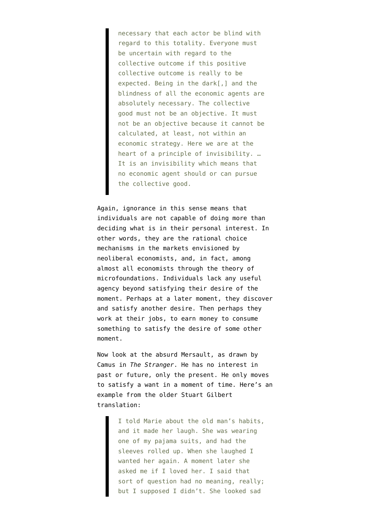necessary that each actor be blind with regard to this totality. Everyone must be uncertain with regard to the collective outcome if this positive collective outcome is really to be expected. Being in the dark[,] and the blindness of all the economic agents are absolutely necessary. The collective good must not be an objective. It must not be an objective because it cannot be calculated, at least, not within an economic strategy. Here we are at the heart of a principle of invisibility. … It is an invisibility which means that no economic agent should or can pursue the collective good.

Again, ignorance in this sense means that individuals are not capable of doing more than deciding what is in their personal interest. In other words, they are the rational choice mechanisms in the markets envisioned by neoliberal economists, and, in fact, among almost all economists through the [theory of](https://larspsyll.wordpress.com/2012/02/14/david-k-levine-is-totally-wrong-on-the-rational-expectations-hypothesis/) [microfoundations.](https://larspsyll.wordpress.com/2012/02/14/david-k-levine-is-totally-wrong-on-the-rational-expectations-hypothesis/) Individuals lack any useful agency beyond satisfying their desire of the moment. Perhaps at a later moment, they discover and satisfy another desire. Then perhaps they work at their jobs, to earn money to consume something to satisfy the desire of some other moment.

Now look at the absurd Mersault, as drawn by Camus in *The Stranger*. He has no interest in past or future, only the present. He only moves to satisfy a want in a moment of time. Here's an example from the older [Stuart Gilbert](http://www.macobo.com/essays/epdf/CAMUS,%20Albert%20-%20The%20Stranger.pdf) [translation](http://www.macobo.com/essays/epdf/CAMUS,%20Albert%20-%20The%20Stranger.pdf):

> I told Marie about the old man's habits, and it made her laugh. She was wearing one of my pajama suits, and had the sleeves rolled up. When she laughed I wanted her again. A moment later she asked me if I loved her. I said that sort of question had no meaning, really; but I supposed I didn't. She looked sad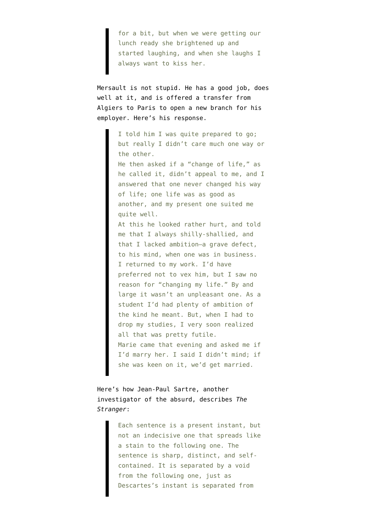for a bit, but when we were getting our lunch ready she brightened up and started laughing, and when she laughs I always want to kiss her.

Mersault is not stupid. He has a good job, does well at it, and is offered a transfer from Algiers to Paris to open a new branch for his employer. Here's his response.

> I told him I was quite prepared to go; but really I didn't care much one way or the other. He then asked if a "change of life," as he called it, didn't appeal to me, and I answered that one never changed his way of life; one life was as good as another, and my present one suited me quite well. At this he looked rather hurt, and told me that I always shilly-shallied, and that I lacked ambition—a grave defect, to his mind, when one was in business. I returned to my work. I'd have preferred not to vex him, but I saw no reason for "changing my life." By and large it wasn't an unpleasant one. As a student I'd had plenty of ambition of the kind he meant. But, when I had to drop my studies, I very soon realized all that was pretty futile. Marie came that evening and asked me if I'd marry her. I said I didn't mind; if she was keen on it, we'd get married.

Here's how [Jean-Paul Sartre, another](http://go.galegroup.com/ps/i.do?id=GALE%7CEJ2101202365&v=2.1&u=high63991&it=r&p=GPS&sw=w&asid=df32bcb834f4b4f7e33f697cb3de5639) [investigator of the absurd, describes](http://go.galegroup.com/ps/i.do?id=GALE%7CEJ2101202365&v=2.1&u=high63991&it=r&p=GPS&sw=w&asid=df32bcb834f4b4f7e33f697cb3de5639) *The Stranger*:

> Each sentence is a present instant, but not an indecisive one that spreads like a stain to the following one. The sentence is sharp, distinct, and selfcontained. It is separated by a void from the following one, just as Descartes's instant is separated from